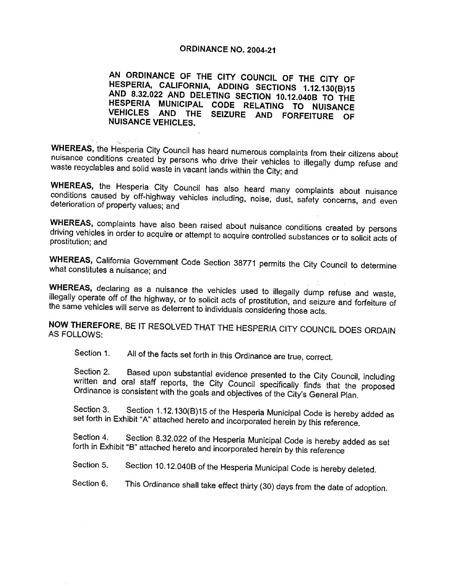### **ORDINANCE NO. 2004-21**

AN ORDINANCE OF THE CITY COUNCIL OF THE CITY OF AND HESPERIA, CALIFORNIA, ADDING SECTIONS RDINAN<br>ERIA, C<br>8.32.022<br>ERIA M AND DELETING SECTION **OF THE CITY OF SAMPLE CONSTANT**<br>10018 1.12.130(B)15<br>10.12.040B TO THE<br>IG TO NUISANCE TO THE HESPERIA MUNICIPAL CODE RELATING TO NUISANCE VEHICLES AND THE SEIZURE AND FORFEITURE OF NUISANCE VEHICLES

WHEREAS, the Hesperia City Council has heard numerous complaints from their citizens about nuisance conditions created by persons who drive their vehicles to illegally dump refuse and waste recyclables and solid waste in v

WHEREAS, the Hesperia City Council has also heard many complaints about nuisance conditions caused by off-highway vehicles including, noise, dust, safety concerns, and even deterioration of property values: and

WHEREAS, complaints have also been raised about nuisance conditions created by persons driving vehicles in order to acquire or attempt to acquire controlled substances or to solicit acts of prostitution; and

WHEREAS, California Government Code Section 38771 permits the City Council to determine what constitutes a nuisance: and

WHEREAS, declaring as a nuisance the vehicles used to illegally dump refuse and waste, illegally operate off of the highway, or to solicit acts of prostitution, and seizure and forfeiture of the same vehicles will serve as

NOW THEREFORE, BE IT RESOLVED THAT THE HESPERIA CITY COUNCIL DOES ORDAIN AS FOLLOWS:

Section 1. All of the facts set forth in this Ordinance are true, correct.

Section 2. Based upon substantial evidence presented to the City Council, including<br>written and oral staff reports, the City Council specifically finds that the proposed<br>Ordinance is consistent with the goa Section 1. All of the facts set forth in this Ordinance are true, correct.<br>Section 2. Based upon substantial evidence presented to the City Council, including<br>written and oral staff reports, the City Council specifically f

Ordinance is consistent with the goals and objectives of the City's General Plan.<br>Section 3. Section 1.12.130(B)15 of the Hesperia Municipal Code is hereby added as set forth in Exhibit "A" attached hereto and incorporated

forth in Exhibit "B" attached hereto and incorporated herein by this reference<br>Section 5. Section 10.12.040B of the Hesperia Municipal Code is hereby deleted.

Section 6. This Ordinance shall take effect thirty (30) days from the date of adoption.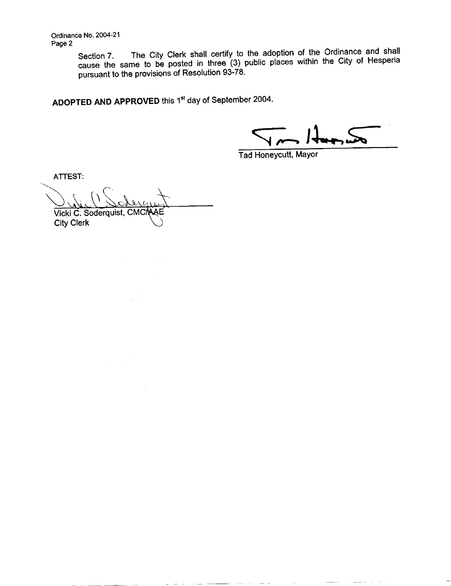Ordinance No. 2004-21 Page 2

Section 7. The City Clerk shall certify to the adoption of the Ordinance and shall<br>cause the same to be posted in three (3) public places within the City of Hesperia<br>pursuant to the provisions of Resolution 93-78.

ADOPTED AND APPROVED this 1<sup>st</sup> day of September 2004.

 $-$ 

 $\equiv$  100  $\pm$ 

Tad Honeycutt, Mayor

ATTEST Vicki City Clerk ST:<br>C. Soderquist, CMC/AAE<br>Clerk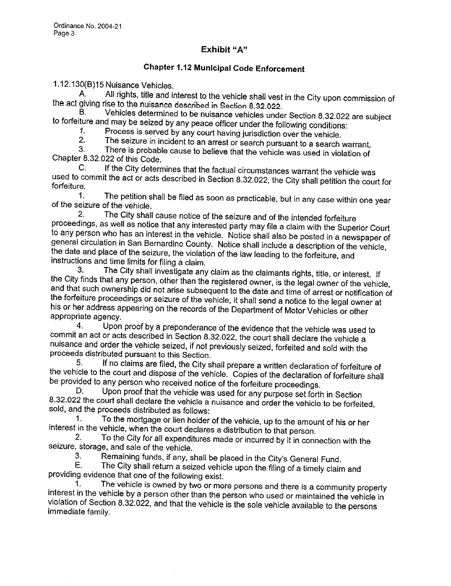## Exhibit "A"

# **Chapter 1.12 Municipal Code Enforcement**

1.12.130(B)15 Nuisance Vehicles.<br>A. All rights, title and interest to the vehicle shall vest<br>the act giving rise to the nuisance described in Section 8.32.022. A. All rights, title and interest to the vehicle shall vest in the City upon commission of giving rise to the nuisance described in Section 8.32.022.<br>B. Vehicles determined to be nuisance vehicles under Section 8.32.022 ar 1.12.130(B)15 Nuisance Vehicles.<br>
A. All rights, title and interest to the vehicle shall vest in the City upon commission c<br>
the act giving rise to the nuisance described in Section 8.32.022.<br>
B. Vehicles determined to be

1. Process is served by any court having jurisdiction over the vehicle.<br>2. The seizure in incident to an arrest or search pure yout to a search.

2. The seizure in incident to an arrest or search pursuant to a search warrant.<br>3. There is probable cause to believe that the vabials was used in the interior.

3. There is probable cause to believe that the vehicle was used in violation of Chapter 8.32.022 of this Code. to forfeiture and may be seized<br>
1. Process is serve<br>
2. The seizure in it<br>
3. There is probab<br>
Chapter 8.32.022 of this Code.<br>
C. if the City detern

C. If the City determines that the factual circumstances warrant the vehicle was used to commit the act or acts described in Section 8.32.022, the City shall petition the court for forfeiture.<br>
1. The petition shall be filed as soon as procticely but in any case will in the filed

1. The petition shall be filed as soon as practicable, but in any case within one year of the seizure of the vehicle.<br>2. The City shall cause potice of the seizure and of the intended for filth in

The City shall cause notice of the seizure and of the intended forfeiture proceedings, as well as notice that any interested party may file a claim with the Superior Court to any person who has an interest in the vehicle. Notice shall also be posted in a newspaper of general circulation in San Bernardino County. Notice shall include a description of the vehicle, the date and place of the seizure, the violation of the law leading to the forfeiture, and instructions and time limits for filing a claim.<br>3. The City shall investigate any claim as the claimants rights, title, or interest. If

the City finds that any person, other than the registered owner, is the legal owner of the vehicle, and that such ownership did not arise subsequent to the date and time of arrest or notification of the forfeiture proceedi appropriate agency.<br>4. Upon his or her address appearing on the records of the Department of Motor Vehicles or other

4. Upon proof by a preponderance of the evidence that the vehicle was used to commit an act or acts described in Section 8.32.022, the court shall declare the vehicle a nuisance and order the vehicle seized, if not previously seized, forfeited and sold with the

proceeds distributed pursuant to this Section.<br>5. If no claims are filed, the City shall prepare a written declaration of forfeiture of 5. If no claims are filed, the City shall prepare a written declaration of forfeiture of<br>the vehicle to the court and dispose of the vehicle. Copies of the declaration of forfeiture shall<br>be provided to any person who rece be provided to any person who received notice of the forfeiture proceedings.<br>D. Upon proof that the vehicle was used for any purpose set forth in Section

D. Upon proof that the vehicle was used for any purpose set forth in Section 8.32.022 the court shall declare the vehicle a nuisance and order the vehicle to be forfeited, sold, and the proceeds distributed as follows:<br>1.

To the mortgage or lien holder of the vehicle, up to the amount of his or her interest in the vehicle, when the court declares a distribution to that person.<br>2. To the City for all expenditures made or incurred by it in earn

2 To the City for all expenditures made or incurred by it in connection with the seizure, storage, and sale of the vehicle.<br>3. Remaining funds if any s

3. Remaining funds, if any, shall be placed in the City's General Fund.<br>E. The City shall return a seized vehicle upon the filing of a timely claim

The City shall return a seized vehicle upon the filing of a timely claim and

providing evidence that one of the following exist.<br>1. The vehicle is owned by two or more persons and there is a community property interest in the vehicle by a person other than the person who used or maintained the vehicle in violation of Section 8.32.022, and that the vehicle is the sole vehicle available to the persons immediate family.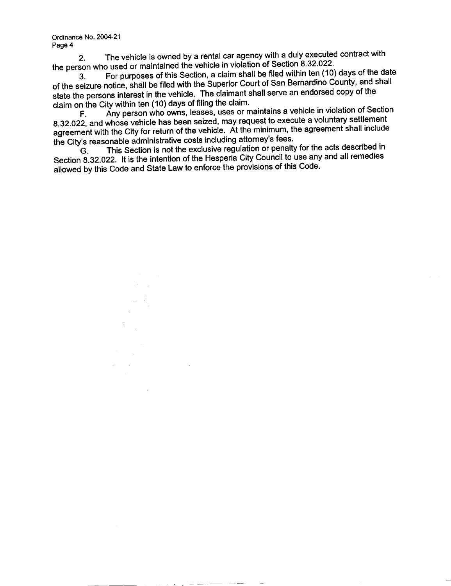Ordinance No. 2004-21 Page 4

2. The vehicle is owned by a rental car agency with a duly executed contract with the person who used or maintained the vehicle in violation of Section 8.32.022.<br>3. For purposes of this Section, a claim shall be filed within ten (10)

For purposes of this Section, a claim shall be filed within ten (10) days of the date of the seizure notice, shall be filed with the Superior Court of San Bernardino County, and shall state the persons interest in the vehicle. The claimant shall serve an endorsed copy of the

claim on the City within ten  $(10)$  days of filing the claim.<br>F. Any person who owns, leases, uses or m Any person who owns, leases, uses or maintains a vehicle in violation of Section 832.022, and whose vehicle has been seized, may request to execute a voluntary settlement<br>agreement with the City for return of the vehicle. The claimant shall serve an endorsed copy of the<br>claim on the City within ten (10 agreement with the City for return of the vehicle. At the minimum, the agreement shall include<br>the City's reasonable administrative costs including attorney's fees. state the persons interest in the vehicle. The claimant shall serve a<br>claim on the City within ten (10) days of filing the claim.<br>F. Any person who owns, leases, uses or maintains a v<br>8.32.022, and whose vehicle has been s

G This Section is not the exclusive regulation or penalty for the acts described in Section 8.32.022. It is the intention of the Hesperia City Council to use any and all remedies allowed by this Code and State Law to enforce the provisions of this Code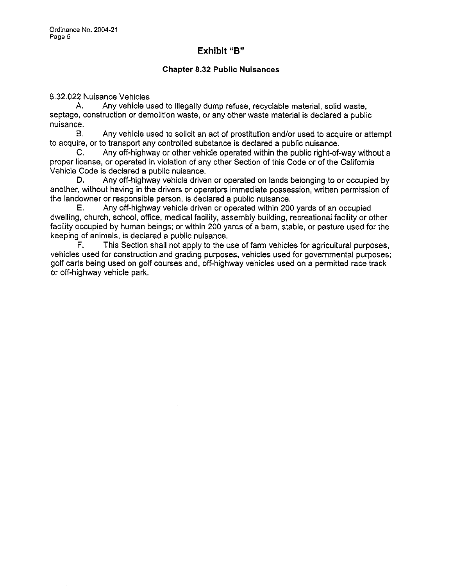### Exhibit "B"

#### Chapter 832 Public Nuisances

8.32.022 Nuisance Vehicles<br>A. Any vehicle us

Any vehicle used to illegally dump refuse, recyclable material, solid waste, septage, construction or demolition waste, or any other waste material is declared a public nuisance

to acquire, or to transport any controlled substance is declared a public nuisance.<br>C. Any off-highway or other vehicle operated within the public right-of-way without a

E.<br>B. Any vehicle used to solicit an act of prostitution and/or used to acquire or attempt<br>ire, or to transport any controlled substance is declared a public nuisance.<br>C. Any off-highway or other vehicle operated within th proper license, or operated in violation of any other Section of this Code or of the California<br>Vehicle Code is declared a public nuisance.<br>D. Any off-highway vehicle driven or operated on lands belonging to or occupied by Vehicle Code is declared a public nuisance.<br>D. Any off-highway vehicle driven or operated on lands belonging to or occupied by

another, without having in the drivers or operators immediate possession, written permission of<br>the landowner or responsible person, is declared a public nuisance.<br>E. Any off-highway vehicle driven or operated within 200 y the landowner or responsible person, is declared a public nuisance.<br>E. Any off-highway vehicle driven or operated within 200 yards of an occupied

dwelling, church, school, office, medical facility, assembly building, recreational facility or other facility occupied by human beings; or within 200 yards of a barn, stable, or pasture used for the keeping of animals, is declared a public nuisance.<br> $F =$ This Section shall not apply to the u

This Section shall not apply to the use of farm vehicles for agricultural purposes, vehicles used for construction and grading purposes, vehicles used for governmental purposes; F. This Section shall not apply to the use of farm vehicles for agricultural purposes vehicles used for construction and grading purposes, vehicles used for governmental purposes golf carts being used on golf courses and, golf carts being used on golf courses and, off-highway vehicles used on a permitted race track or off-highway vehicle park.